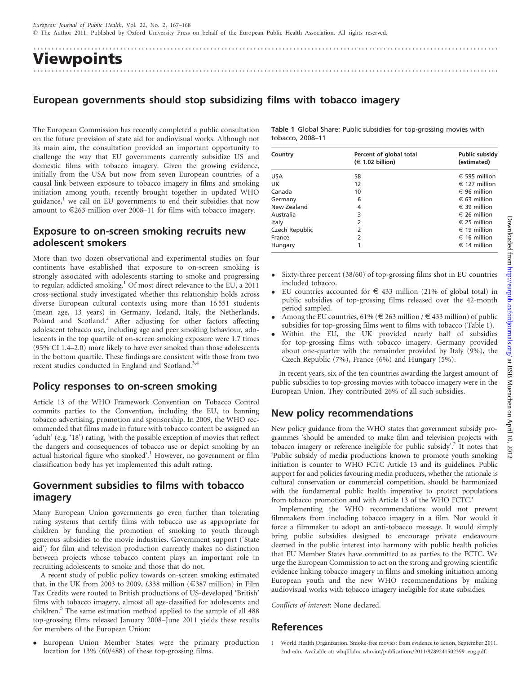.................................................................................................................................

Viewpoints .................................................................................................................................

# European governments should stop subsidizing films with tobacco imagery

The European Commission has recently completed a public consultation on the future provision of state aid for audiovisual works. Although not its main aim, the consultation provided an important opportunity to challenge the way that EU governments currently subsidize US and domestic films with tobacco imagery. Given the growing evidence, initially from the USA but now from seven European countries, of a causal link between exposure to tobacco imagery in films and smoking initiation among youth, recently brought together in updated WHO guidance, $<sup>1</sup>$  we call on EU governments to end their subsidies that now</sup> amount to  $\epsilon$ 263 million over 2008–11 for films with tobacco imagery.

### Exposure to on-screen smoking recruits new adolescent smokers

More than two dozen observational and experimental studies on four continents have established that exposure to on-screen smoking is strongly associated with adolescents starting to smoke and progressing to regular, addicted smoking.<sup>1</sup> Of most direct relevance to the EU, a 2011 cross-sectional study investigated whether this relationship holds across diverse European cultural contexts using more than 16 551 students (mean age, 13 years) in Germany, Iceland, Italy, the Netherlands, Poland and Scotland.<sup>2</sup> After adjusting for other factors affecting adolescent tobacco use, including age and peer smoking behaviour, adolescents in the top quartile of on-screen smoking exposure were 1.7 times (95% CI 1.4–2.0) more likely to have ever smoked than those adolescents in the bottom quartile. These findings are consistent with those from two recent studies conducted in England and Scotland.<sup>3,4</sup>

#### Policy responses to on-screen smoking

Article 13 of the WHO Framework Convention on Tobacco Control commits parties to the Convention, including the EU, to banning tobacco advertising, promotion and sponsorship. In 2009, the WHO recommended that films made in future with tobacco content be assigned an 'adult' (e.g. '18') rating, 'with the possible exception of movies that reflect the dangers and consequences of tobacco use or depict smoking by an actual historical figure who smoked'.<sup>1</sup> However, no government or film classification body has yet implemented this adult rating.

# Government subsidies to films with tobacco imagery

Many European Union governments go even further than tolerating rating systems that certify films with tobacco use as appropriate for children by funding the promotion of smoking to youth through generous subsidies to the movie industries. Government support ('State aid') for film and television production currently makes no distinction between projects whose tobacco content plays an important role in recruiting adolescents to smoke and those that do not.

A recent study of public policy towards on-screen smoking estimated that, in the UK from 2003 to 2009, £338 million ( $\epsilon$ 387 million) in Film Tax Credits were routed to British productions of US-developed 'British' films with tobacco imagery, almost all age-classified for adolescents and children.<sup>5</sup> The same estimation method applied to the sample of all 488 top-grossing films released January 2008–June 2011 yields these results for members of the European Union:

 $\bullet$  European Union Member States were the primary production location for 13% (60/488) of these top-grossing films.

| Table 1 Global Share: Public subsidies for top-grossing movies with |  |  |  |
|---------------------------------------------------------------------|--|--|--|
| tobacco, 2008-11                                                    |  |  |  |

| Country        | Percent of global total<br>$(\in$ 1.02 billion) | Public subsidy<br>(estimated) |  |  |
|----------------|-------------------------------------------------|-------------------------------|--|--|
| <b>USA</b>     | 58                                              | $\epsilon$ 595 million        |  |  |
| UK             | 12                                              | $\in$ 127 million             |  |  |
| Canada         | 10                                              | $\in$ 96 million              |  |  |
| Germany        | 6                                               | $\in$ 63 million              |  |  |
| New Zealand    | 4                                               | $\in$ 39 million              |  |  |
| Australia      | 3                                               | $\in$ 26 million              |  |  |
| Italy          | 2                                               | $\in$ 25 million              |  |  |
| Czech Republic | 2                                               | $\in$ 19 million              |  |  |
| France         | 2                                               | $\epsilon$ 16 million         |  |  |
| Hungary        |                                                 | $\in$ 14 million              |  |  |

- $\bullet$  Sixty-three percent (38/60) of top-grossing films shot in EU countries included tobacco.
- $\bullet$ EU countries accounted for  $\epsilon$  433 million (21% of global total) in public subsidies of top-grossing films released over the 42-month period sampled.
- $\bullet$ Among the EU countries, 61% ( $\in$  263 million / $\in$  433 million) of public subsidies for top-grossing films went to films with tobacco (Table 1).
- $\bullet$  Within the EU, the UK provided nearly half of subsidies for top-grossing films with tobacco imagery. Germany provided about one-quarter with the remainder provided by Italy (9%), the Czech Republic (7%), France (6%) and Hungary (5%).

In recent years, six of the ten countries awarding the largest amount of public subsidies to top-grossing movies with tobacco imagery were in the European Union. They contributed 26% of all such subsidies.

## New policy recommendations

New policy guidance from the WHO states that government subsidy programmes 'should be amended to make film and television projects with tobacco imagery or reference ineligible for public subsidy'.<sup>2</sup> It notes that 'Public subsidy of media productions known to promote youth smoking initiation is counter to WHO FCTC Article 13 and its guidelines. Public support for and policies favouring media producers, whether the rationale is cultural conservation or commercial competition, should be harmonized with the fundamental public health imperative to protect populations from tobacco promotion and with Article 13 of the WHO FCTC.'

Implementing the WHO recommendations would not prevent filmmakers from including tobacco imagery in a film. Nor would it force a filmmaker to adopt an anti-tobacco message. It would simply bring public subsidies designed to encourage private endeavours deemed in the public interest into harmony with public health policies that EU Member States have committed to as parties to the FCTC. We urge the European Commission to act on the strong and growing scientific evidence linking tobacco imagery in films and smoking initiation among European youth and the new WHO recommendations by making audiovisual works with tobacco imagery ineligible for state subsidies.

Conflicts of interest: None declared.

## References

Downloaded from http://eurpub.oxfordjournals.org/ at Downloaded from <http://eurpub.oxfordjournals.org/> at BSB Muenchen on April 10, 2012 BSB Muenchen on April 10.

1 World Health Organization. Smoke-free movies: from evidence to action, September 2011. 2nd edn. Available at: whqlibdoc.who.int/publications/2011/9789241502399\_eng.pdf.